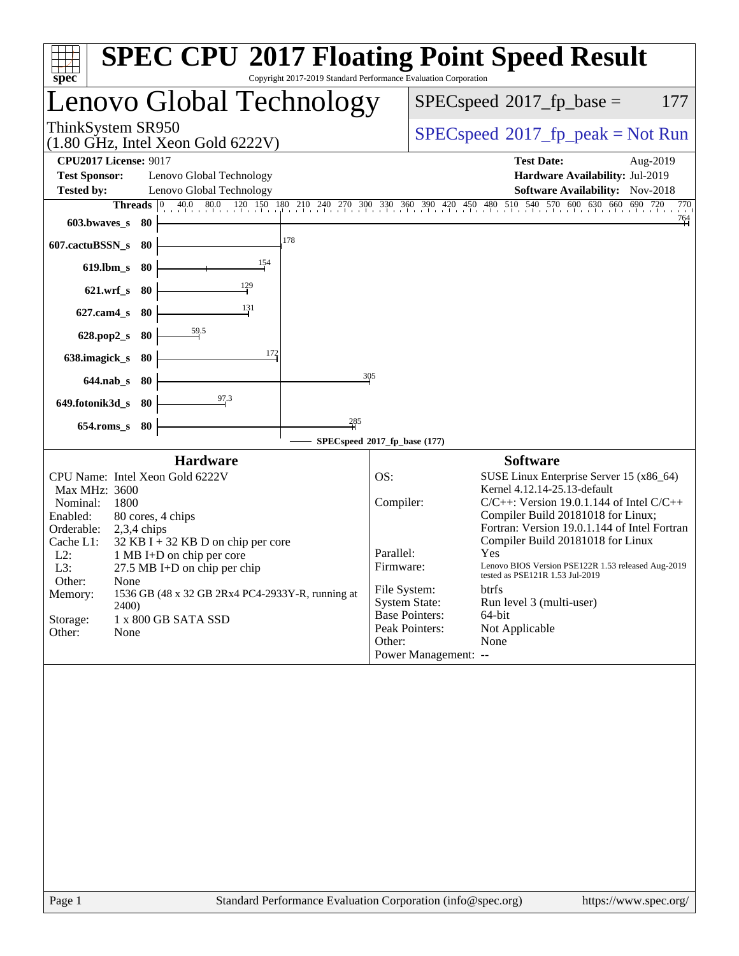| spec <sup>®</sup>                                                                                                                                                                                                                                                                                                                                                                                                            | <b>SPEC CPU®2017 Floating Point Speed Result</b><br>Copyright 2017-2019 Standard Performance Evaluation Corporation                                                                                                                                                                                                                                                                                                                                                                                                                                                                              |
|------------------------------------------------------------------------------------------------------------------------------------------------------------------------------------------------------------------------------------------------------------------------------------------------------------------------------------------------------------------------------------------------------------------------------|--------------------------------------------------------------------------------------------------------------------------------------------------------------------------------------------------------------------------------------------------------------------------------------------------------------------------------------------------------------------------------------------------------------------------------------------------------------------------------------------------------------------------------------------------------------------------------------------------|
| Lenovo Global Technology                                                                                                                                                                                                                                                                                                                                                                                                     | $SPEC speed^{\circ}2017$ _fp_base =<br>177                                                                                                                                                                                                                                                                                                                                                                                                                                                                                                                                                       |
| ThinkSystem SR950<br>$(1.80 \text{ GHz}, \text{Intel Xeon Gold } 6222 \text{V})$                                                                                                                                                                                                                                                                                                                                             | $SPEC speed^{\circ}2017\_fp\_peak = Not Run$                                                                                                                                                                                                                                                                                                                                                                                                                                                                                                                                                     |
| <b>CPU2017 License: 9017</b><br><b>Test Sponsor:</b><br>Lenovo Global Technology<br><b>Tested by:</b><br>Lenovo Global Technology                                                                                                                                                                                                                                                                                            | <b>Test Date:</b><br>Aug-2019<br>Hardware Availability: Jul-2019<br><b>Software Availability:</b> Nov-2018                                                                                                                                                                                                                                                                                                                                                                                                                                                                                       |
| <b>Threads</b><br>$ 0\rangle$<br>603.bwaves_s<br>-80<br>178<br>607.cactuBSSN_s<br>-80                                                                                                                                                                                                                                                                                                                                        | 40.0 80.0 120 150 180 210 240 270 300 330 360 390 420 450 480 510 540 570 600 630 660 690 720<br>770<br>$\frac{764}{4}$                                                                                                                                                                                                                                                                                                                                                                                                                                                                          |
| 154<br>$619$ .lbm_s<br>-80<br>129<br>$621.wrf$ <sub>S</sub><br>80                                                                                                                                                                                                                                                                                                                                                            |                                                                                                                                                                                                                                                                                                                                                                                                                                                                                                                                                                                                  |
| 131<br>$627$ .cam $4$ <sub>S</sub><br>80                                                                                                                                                                                                                                                                                                                                                                                     |                                                                                                                                                                                                                                                                                                                                                                                                                                                                                                                                                                                                  |
| 59.5<br>628.pop2_s<br>80<br>172<br>638.imagick_s<br>80                                                                                                                                                                                                                                                                                                                                                                       |                                                                                                                                                                                                                                                                                                                                                                                                                                                                                                                                                                                                  |
| $644$ .nab s<br>80<br>$\frac{97.3}{2}$<br>649.fotonik3d_s<br>-80                                                                                                                                                                                                                                                                                                                                                             | 305                                                                                                                                                                                                                                                                                                                                                                                                                                                                                                                                                                                              |
| 285<br>$654$ .roms_s<br>80                                                                                                                                                                                                                                                                                                                                                                                                   | SPECspeed®2017_fp_base (177)                                                                                                                                                                                                                                                                                                                                                                                                                                                                                                                                                                     |
| <b>Hardware</b>                                                                                                                                                                                                                                                                                                                                                                                                              | <b>Software</b>                                                                                                                                                                                                                                                                                                                                                                                                                                                                                                                                                                                  |
| CPU Name: Intel Xeon Gold 6222V<br>Max MHz: 3600<br>Nominal:<br>1800<br>Enabled:<br>80 cores, 4 chips<br>Orderable:<br>$2,3,4$ chips<br>Cache L1:<br>$32$ KB I + 32 KB D on chip per core<br>$L2$ :<br>1 MB I+D on chip per core<br>L3:<br>27.5 MB I+D on chip per chip<br>Other:<br>None<br>1536 GB (48 x 32 GB 2Rx4 PC4-2933Y-R, running at<br>Memory:<br><b>2400</b><br>Storage:<br>1 x 800 GB SATA SSD<br>Other:<br>None | OS:<br>SUSE Linux Enterprise Server 15 (x86_64)<br>Kernel 4.12.14-25.13-default<br>Compiler:<br>$C/C++$ : Version 19.0.1.144 of Intel $C/C++$<br>Compiler Build 20181018 for Linux;<br>Fortran: Version 19.0.1.144 of Intel Fortran<br>Compiler Build 20181018 for Linux<br>Parallel:<br>Yes<br>Firmware:<br>Lenovo BIOS Version PSE122R 1.53 released Aug-2019<br>tested as PSE121R 1.53 Jul-2019<br>btrfs<br>File System:<br><b>System State:</b><br>Run level 3 (multi-user)<br><b>Base Pointers:</b><br>64-bit<br>Peak Pointers:<br>Not Applicable<br>None<br>Other:<br>Power Management: -- |
|                                                                                                                                                                                                                                                                                                                                                                                                                              |                                                                                                                                                                                                                                                                                                                                                                                                                                                                                                                                                                                                  |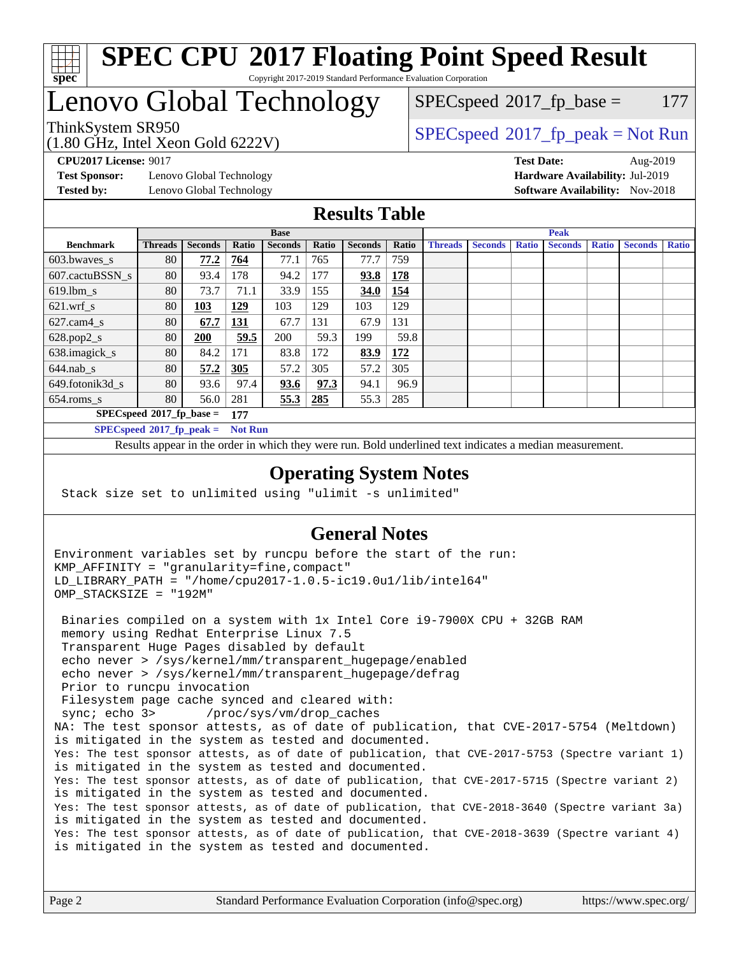

#### **[SPEC CPU](http://www.spec.org/auto/cpu2017/Docs/result-fields.html#SPECCPU2017FloatingPointSpeedResult)[2017 Floating Point Speed Result](http://www.spec.org/auto/cpu2017/Docs/result-fields.html#SPECCPU2017FloatingPointSpeedResult)** Copyright 2017-2019 Standard Performance Evaluation Corporation

## Lenovo Global Technology

(1.80 GHz, Intel Xeon Gold 6222V) ThinkSystem SR950<br>  $SPECspeed*2017_fp\_peak = Not Run$  $SPECspeed*2017_fp\_peak = Not Run$ 

 $SPEC speed^{\circ}2017\_fp\_base = 177$ 

**[Test Sponsor:](http://www.spec.org/auto/cpu2017/Docs/result-fields.html#TestSponsor)** Lenovo Global Technology **[Hardware Availability:](http://www.spec.org/auto/cpu2017/Docs/result-fields.html#HardwareAvailability)** Jul-2019 **[Tested by:](http://www.spec.org/auto/cpu2017/Docs/result-fields.html#Testedby)** Lenovo Global Technology **[Software Availability:](http://www.spec.org/auto/cpu2017/Docs/result-fields.html#SoftwareAvailability)** Nov-2018

**[CPU2017 License:](http://www.spec.org/auto/cpu2017/Docs/result-fields.html#CPU2017License)** 9017 **[Test Date:](http://www.spec.org/auto/cpu2017/Docs/result-fields.html#TestDate)** Aug-2019

### **[Results Table](http://www.spec.org/auto/cpu2017/Docs/result-fields.html#ResultsTable)**

|                          |                                   |                |                | <b>Base</b>    |       |                |       |                |                |              | <b>Peak</b>    |              |                |              |
|--------------------------|-----------------------------------|----------------|----------------|----------------|-------|----------------|-------|----------------|----------------|--------------|----------------|--------------|----------------|--------------|
| <b>Benchmark</b>         | <b>Threads</b>                    | <b>Seconds</b> | Ratio          | <b>Seconds</b> | Ratio | <b>Seconds</b> | Ratio | <b>Threads</b> | <b>Seconds</b> | <b>Ratio</b> | <b>Seconds</b> | <b>Ratio</b> | <b>Seconds</b> | <b>Ratio</b> |
| 603.bwayes s             | 80                                | 77.2           | 764            | 77.1           | 765   | 77.7           | 759   |                |                |              |                |              |                |              |
| 607.cactuBSSN s          | 80                                | 93.4           | 178            | 94.2           | 177   | 93.8           | 178   |                |                |              |                |              |                |              |
| $619.1$ bm s             | 80                                | 73.7           | 71.1           | 33.9           | 155   | 34.0           | 154   |                |                |              |                |              |                |              |
| $621$ .wrf s             | 80                                | 103            | <u>129</u>     | 103            | 129   | 103            | 129   |                |                |              |                |              |                |              |
| $627$ .cam $4 \text{ s}$ | 80                                | 67.7           | <u>131</u>     | 67.7           | 131   | 67.9           | 131   |                |                |              |                |              |                |              |
| $628.pop2_s$             | 80                                | 200            | 59.5           | 200            | 59.3  | 199            | 59.8  |                |                |              |                |              |                |              |
| 638.imagick_s            | 80                                | 84.2           | 171            | 83.8           | 172   | 83.9           | 172   |                |                |              |                |              |                |              |
| $644$ .nab s             | 80                                | 57.2           | 305            | 57.2           | 305   | 57.2           | 305   |                |                |              |                |              |                |              |
| 649.fotonik3d s          | 80                                | 93.6           | 97.4           | <u>93.6</u>    | 97.3  | 94.1           | 96.9  |                |                |              |                |              |                |              |
| $654$ .roms s            | 80                                | 56.0           | 281            | 55.3           | 285   | 55.3           | 285   |                |                |              |                |              |                |              |
|                          | $SPECspeed*2017_fp\_base =$       |                | 177            |                |       |                |       |                |                |              |                |              |                |              |
|                          | $SPECspeed^{\circ}2017$ fp peak = |                | <b>Not Run</b> |                |       |                |       |                |                |              |                |              |                |              |

Results appear in the [order in which they were run.](http://www.spec.org/auto/cpu2017/Docs/result-fields.html#RunOrder) Bold underlined text [indicates a median measurement](http://www.spec.org/auto/cpu2017/Docs/result-fields.html#Median).

#### **[Operating System Notes](http://www.spec.org/auto/cpu2017/Docs/result-fields.html#OperatingSystemNotes)**

Stack size set to unlimited using "ulimit -s unlimited"

#### **[General Notes](http://www.spec.org/auto/cpu2017/Docs/result-fields.html#GeneralNotes)**

Environment variables set by runcpu before the start of the run: KMP\_AFFINITY = "granularity=fine,compact" LD\_LIBRARY\_PATH = "/home/cpu2017-1.0.5-ic19.0u1/lib/intel64" OMP\_STACKSIZE = "192M" Binaries compiled on a system with 1x Intel Core i9-7900X CPU + 32GB RAM memory using Redhat Enterprise Linux 7.5 Transparent Huge Pages disabled by default echo never > /sys/kernel/mm/transparent\_hugepage/enabled echo never > /sys/kernel/mm/transparent\_hugepage/defrag Prior to runcpu invocation Filesystem page cache synced and cleared with: sync; echo 3> /proc/sys/vm/drop\_caches NA: The test sponsor attests, as of date of publication, that CVE-2017-5754 (Meltdown) is mitigated in the system as tested and documented. Yes: The test sponsor attests, as of date of publication, that CVE-2017-5753 (Spectre variant 1) is mitigated in the system as tested and documented. Yes: The test sponsor attests, as of date of publication, that CVE-2017-5715 (Spectre variant 2) is mitigated in the system as tested and documented. Yes: The test sponsor attests, as of date of publication, that CVE-2018-3640 (Spectre variant 3a) is mitigated in the system as tested and documented. Yes: The test sponsor attests, as of date of publication, that CVE-2018-3639 (Spectre variant 4) is mitigated in the system as tested and documented.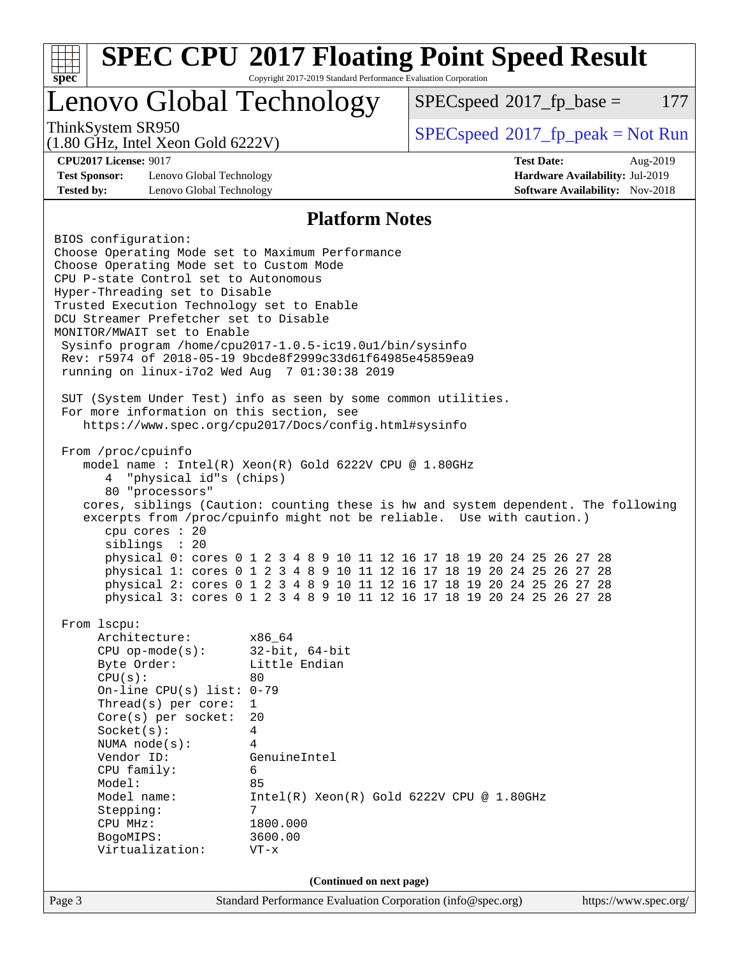| $spec^*$                                                                                                   | <b>SPEC CPU®2017 Floating Point Speed Result</b><br>Copyright 2017-2019 Standard Performance Evaluation Corporation                              |                                              |                                        |
|------------------------------------------------------------------------------------------------------------|--------------------------------------------------------------------------------------------------------------------------------------------------|----------------------------------------------|----------------------------------------|
| Lenovo Global Technology                                                                                   |                                                                                                                                                  | $SPEC speed^{\circ}2017$ fp base =           | 177                                    |
| ThinkSystem SR950<br>$(1.80 \text{ GHz}, \text{Intel Xeon Gold } 6222 \text{V})$                           |                                                                                                                                                  | $SPEC speed^{\circ}2017\_fp\_peak = Not Run$ |                                        |
| <b>CPU2017 License: 9017</b>                                                                               |                                                                                                                                                  | <b>Test Date:</b>                            | Aug-2019                               |
| <b>Test Sponsor:</b><br>Lenovo Global Technology                                                           |                                                                                                                                                  |                                              | Hardware Availability: Jul-2019        |
| <b>Tested by:</b><br>Lenovo Global Technology                                                              |                                                                                                                                                  |                                              | <b>Software Availability:</b> Nov-2018 |
|                                                                                                            | <b>Platform Notes</b>                                                                                                                            |                                              |                                        |
| BIOS configuration:                                                                                        |                                                                                                                                                  |                                              |                                        |
| Choose Operating Mode set to Maximum Performance                                                           |                                                                                                                                                  |                                              |                                        |
| Choose Operating Mode set to Custom Mode                                                                   |                                                                                                                                                  |                                              |                                        |
| CPU P-state Control set to Autonomous<br>Hyper-Threading set to Disable                                    |                                                                                                                                                  |                                              |                                        |
| Trusted Execution Technology set to Enable                                                                 |                                                                                                                                                  |                                              |                                        |
| DCU Streamer Prefetcher set to Disable                                                                     |                                                                                                                                                  |                                              |                                        |
| MONITOR/MWAIT set to Enable                                                                                |                                                                                                                                                  |                                              |                                        |
| Sysinfo program /home/cpu2017-1.0.5-ic19.0ul/bin/sysinfo                                                   |                                                                                                                                                  |                                              |                                        |
| Rev: r5974 of 2018-05-19 9bcde8f2999c33d61f64985e45859ea9<br>running on linux-i7o2 Wed Aug 7 01:30:38 2019 |                                                                                                                                                  |                                              |                                        |
|                                                                                                            |                                                                                                                                                  |                                              |                                        |
| SUT (System Under Test) info as seen by some common utilities.                                             |                                                                                                                                                  |                                              |                                        |
| For more information on this section, see                                                                  |                                                                                                                                                  |                                              |                                        |
|                                                                                                            | https://www.spec.org/cpu2017/Docs/config.html#sysinfo                                                                                            |                                              |                                        |
| From /proc/cpuinfo                                                                                         |                                                                                                                                                  |                                              |                                        |
|                                                                                                            | model name: $Intel(R)$ Xeon $(R)$ Gold 6222V CPU @ 1.80GHz                                                                                       |                                              |                                        |
| "physical id"s (chips)<br>4                                                                                |                                                                                                                                                  |                                              |                                        |
| 80 "processors"                                                                                            |                                                                                                                                                  |                                              |                                        |
|                                                                                                            | cores, siblings (Caution: counting these is hw and system dependent. The following                                                               |                                              |                                        |
| cpu cores : 20                                                                                             | excerpts from /proc/cpuinfo might not be reliable. Use with caution.)                                                                            |                                              |                                        |
| siblings : 20                                                                                              |                                                                                                                                                  |                                              |                                        |
|                                                                                                            | physical 0: cores 0 1 2 3 4 8 9 10 11 12 16 17 18 19 20 24 25 26 27 28                                                                           |                                              |                                        |
|                                                                                                            | physical 1: cores 0 1 2 3 4 8 9 10 11 12 16 17 18 19 20 24 25 26 27 28                                                                           |                                              |                                        |
|                                                                                                            | physical 2: cores 0 1 2 3 4 8 9 10 11 12 16 17 18 19 20 24 25 26 27 28<br>physical 3: cores 0 1 2 3 4 8 9 10 11 12 16 17 18 19 20 24 25 26 27 28 |                                              |                                        |
|                                                                                                            |                                                                                                                                                  |                                              |                                        |
| From 1scpu:                                                                                                |                                                                                                                                                  |                                              |                                        |
| Architecture:                                                                                              | x86 64                                                                                                                                           |                                              |                                        |
| $CPU$ op-mode( $s$ ):                                                                                      | $32$ -bit, $64$ -bit                                                                                                                             |                                              |                                        |
| Byte Order:<br>CPU(s):                                                                                     | Little Endian<br>80                                                                                                                              |                                              |                                        |
| On-line CPU(s) list: $0-79$                                                                                |                                                                                                                                                  |                                              |                                        |
| Thread( $s$ ) per core:                                                                                    | 1                                                                                                                                                |                                              |                                        |
| Core(s) per socket:                                                                                        | 20                                                                                                                                               |                                              |                                        |
| Socket(s):                                                                                                 | 4                                                                                                                                                |                                              |                                        |
| NUMA node(s):<br>Vendor ID:                                                                                | 4<br>GenuineIntel                                                                                                                                |                                              |                                        |
| CPU family:                                                                                                | 6                                                                                                                                                |                                              |                                        |
| Model:                                                                                                     | 85                                                                                                                                               |                                              |                                        |
| Model name:                                                                                                | $Intel(R) Xeon(R) Gold 6222V CPU @ 1.80GHz$                                                                                                      |                                              |                                        |
| Stepping:                                                                                                  | 7<br>1800.000                                                                                                                                    |                                              |                                        |
| CPU MHz:<br>BogoMIPS:                                                                                      | 3600.00                                                                                                                                          |                                              |                                        |
| Virtualization:                                                                                            | $VT - x$                                                                                                                                         |                                              |                                        |
|                                                                                                            |                                                                                                                                                  |                                              |                                        |
|                                                                                                            | (Continued on next page)                                                                                                                         |                                              |                                        |
| Page 3                                                                                                     | Standard Performance Evaluation Corporation (info@spec.org)                                                                                      |                                              | https://www.spec.org/                  |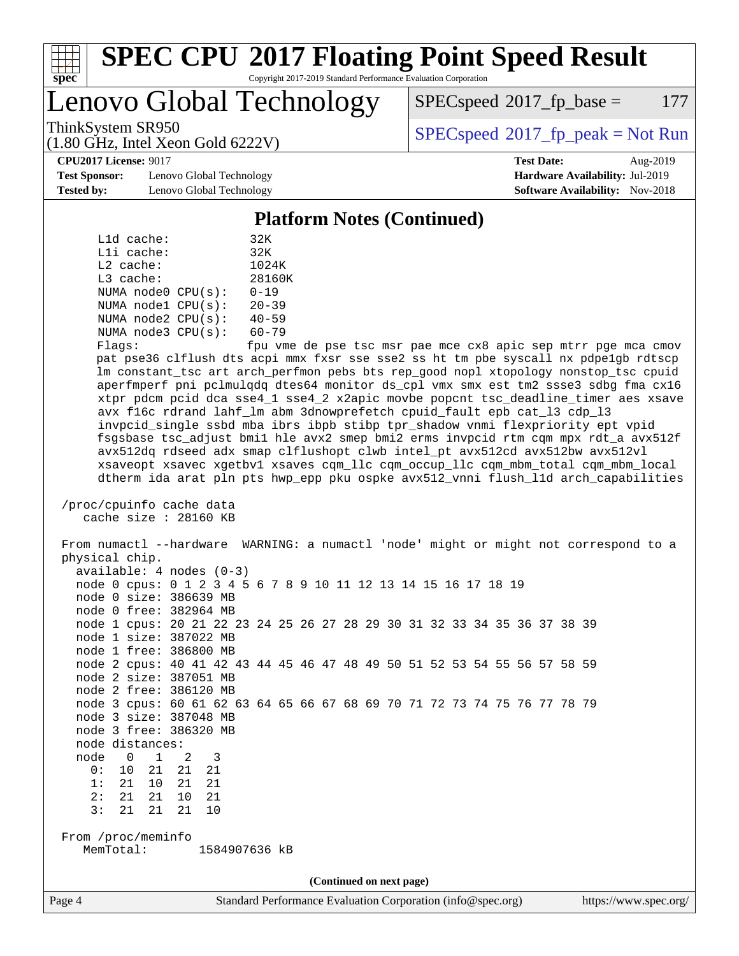

#### **[SPEC CPU](http://www.spec.org/auto/cpu2017/Docs/result-fields.html#SPECCPU2017FloatingPointSpeedResult)[2017 Floating Point Speed Result](http://www.spec.org/auto/cpu2017/Docs/result-fields.html#SPECCPU2017FloatingPointSpeedResult)** Copyright 2017-2019 Standard Performance Evaluation Corporation

Lenovo Global Technology

 $SPEC speed^{\circ}2017$  fp base = 177

ThinkSystem SR950<br>  $SPECspeed*2017_fp\_peak = Not Run$  $SPECspeed*2017_fp\_peak = Not Run$ 

**[Test Sponsor:](http://www.spec.org/auto/cpu2017/Docs/result-fields.html#TestSponsor)** Lenovo Global Technology **[Hardware Availability:](http://www.spec.org/auto/cpu2017/Docs/result-fields.html#HardwareAvailability)** Jul-2019 **[Tested by:](http://www.spec.org/auto/cpu2017/Docs/result-fields.html#Testedby)** Lenovo Global Technology **[Software Availability:](http://www.spec.org/auto/cpu2017/Docs/result-fields.html#SoftwareAvailability)** Nov-2018

(1.80 GHz, Intel Xeon Gold 6222V)

**[CPU2017 License:](http://www.spec.org/auto/cpu2017/Docs/result-fields.html#CPU2017License)** 9017 **[Test Date:](http://www.spec.org/auto/cpu2017/Docs/result-fields.html#TestDate)** Aug-2019

#### **[Platform Notes \(Continued\)](http://www.spec.org/auto/cpu2017/Docs/result-fields.html#PlatformNotes)**

| L1d cache:  |                         | 32K       |
|-------------|-------------------------|-----------|
| Lli cache:  |                         | 32K       |
| $L2$ cache: |                         | 1024K     |
| L3 cache:   |                         | 28160K    |
|             | NUMA node0 CPU(s):      | $0 - 19$  |
|             | NUMA nodel CPU(s):      | $20 - 39$ |
|             | NUMA $node2$ $CPU(s)$ : | $40 - 59$ |
|             | NUMA $node3$ $CPU(s)$ : | $60 - 79$ |
|             |                         |           |

Flags: fpu vme de pse tsc msr pae mce cx8 apic sep mtrr pge mca cmov pat pse36 clflush dts acpi mmx fxsr sse sse2 ss ht tm pbe syscall nx pdpe1gb rdtscp lm constant\_tsc art arch\_perfmon pebs bts rep\_good nopl xtopology nonstop\_tsc cpuid aperfmperf pni pclmulqdq dtes64 monitor ds\_cpl vmx smx est tm2 ssse3 sdbg fma cx16 xtpr pdcm pcid dca sse4\_1 sse4\_2 x2apic movbe popcnt tsc\_deadline\_timer aes xsave avx f16c rdrand lahf\_lm abm 3dnowprefetch cpuid\_fault epb cat\_l3 cdp\_l3 invpcid\_single ssbd mba ibrs ibpb stibp tpr\_shadow vnmi flexpriority ept vpid fsgsbase tsc\_adjust bmi1 hle avx2 smep bmi2 erms invpcid rtm cqm mpx rdt\_a avx512f avx512dq rdseed adx smap clflushopt clwb intel\_pt avx512cd avx512bw avx512vl xsaveopt xsavec xgetbv1 xsaves cqm\_llc cqm\_occup\_llc cqm\_mbm\_total cqm\_mbm\_local dtherm ida arat pln pts hwp\_epp pku ospke avx512\_vnni flush\_l1d arch\_capabilities

```
 /proc/cpuinfo cache data
cache size : 28160 KB
```
 From numactl --hardware WARNING: a numactl 'node' might or might not correspond to a physical chip. available: 4 nodes (0-3) node 0 cpus: 0 1 2 3 4 5 6 7 8 9 10 11 12 13 14 15 16 17 18 19 node 0 size: 386639 MB node 0 free: 382964 MB node 1 cpus: 20 21 22 23 24 25 26 27 28 29 30 31 32 33 34 35 36 37 38 39 node 1 size: 387022 MB node 1 free: 386800 MB node 2 cpus: 40 41 42 43 44 45 46 47 48 49 50 51 52 53 54 55 56 57 58 59 node 2 size: 387051 MB node 2 free: 386120 MB node 3 cpus: 60 61 62 63 64 65 66 67 68 69 70 71 72 73 74 75 76 77 78 79 node 3 size: 387048 MB node 3 free: 386320 MB node distances: node 0 1 2 3 0: 10 21 21 21 1: 21 10 21 21 2: 21 21 10 21 3: 21 21 21 10 From /proc/meminfo MemTotal: 1584907636 kB **(Continued on next page)**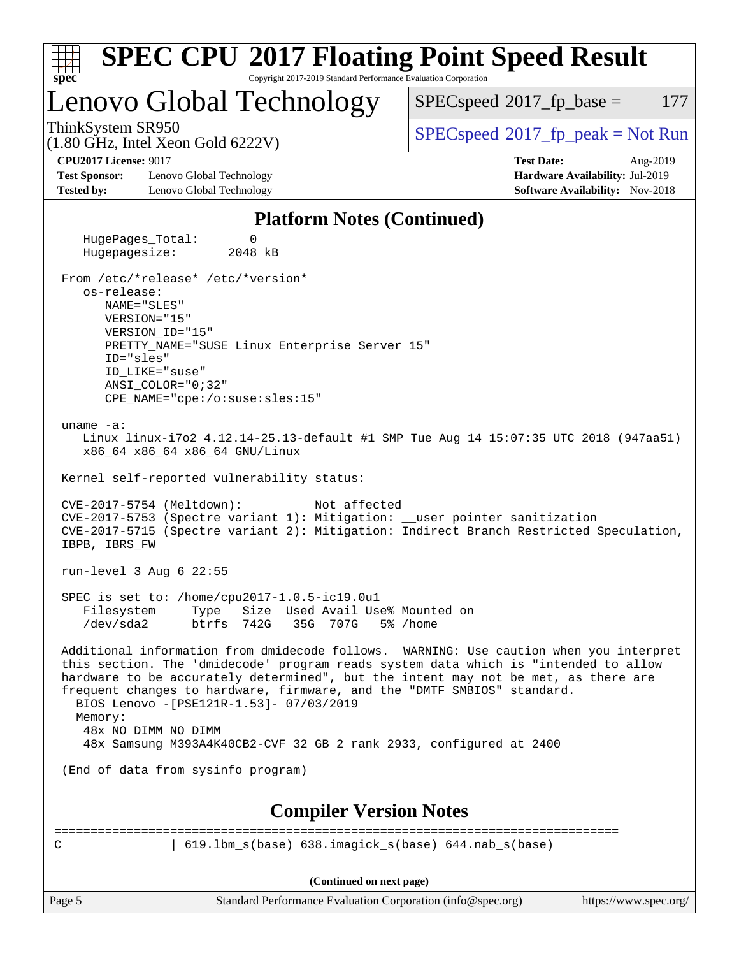| <b>SPEC CPU®2017 Floating Point Speed Result</b>                                                                                                                                                                                                                                                                                                                                                     |                                              |
|------------------------------------------------------------------------------------------------------------------------------------------------------------------------------------------------------------------------------------------------------------------------------------------------------------------------------------------------------------------------------------------------------|----------------------------------------------|
| Copyright 2017-2019 Standard Performance Evaluation Corporation<br>$spec^*$                                                                                                                                                                                                                                                                                                                          |                                              |
| Lenovo Global Technology                                                                                                                                                                                                                                                                                                                                                                             | 177<br>$SPEC speed^{\circ}2017$ _fp_base =   |
| ThinkSystem SR950<br>$(1.80 \text{ GHz}, \text{Intel Xeon Gold } 6222 \text{V})$                                                                                                                                                                                                                                                                                                                     | $SPEC speed^{\circ}2017\_fp\_peak = Not Run$ |
| <b>CPU2017 License: 9017</b>                                                                                                                                                                                                                                                                                                                                                                         | <b>Test Date:</b><br>Aug-2019                |
| <b>Test Sponsor:</b><br>Lenovo Global Technology                                                                                                                                                                                                                                                                                                                                                     | Hardware Availability: Jul-2019              |
| <b>Tested by:</b><br>Lenovo Global Technology                                                                                                                                                                                                                                                                                                                                                        | <b>Software Availability:</b> Nov-2018       |
| <b>Platform Notes (Continued)</b>                                                                                                                                                                                                                                                                                                                                                                    |                                              |
| HugePages_Total:<br>0<br>Hugepagesize:<br>2048 kB                                                                                                                                                                                                                                                                                                                                                    |                                              |
| From /etc/*release* /etc/*version*                                                                                                                                                                                                                                                                                                                                                                   |                                              |
| os-release:                                                                                                                                                                                                                                                                                                                                                                                          |                                              |
| NAME="SLES"                                                                                                                                                                                                                                                                                                                                                                                          |                                              |
| VERSION="15"                                                                                                                                                                                                                                                                                                                                                                                         |                                              |
| VERSION ID="15"<br>PRETTY_NAME="SUSE Linux Enterprise Server 15"                                                                                                                                                                                                                                                                                                                                     |                                              |
| ID="sles"                                                                                                                                                                                                                                                                                                                                                                                            |                                              |
| ID LIKE="suse"                                                                                                                                                                                                                                                                                                                                                                                       |                                              |
| $ANSI$ _COLOR=" $0:32$ "                                                                                                                                                                                                                                                                                                                                                                             |                                              |
| CPE_NAME="cpe:/o:suse:sles:15"                                                                                                                                                                                                                                                                                                                                                                       |                                              |
|                                                                                                                                                                                                                                                                                                                                                                                                      |                                              |
| uname $-a$ :<br>Linux linux-i7o2 4.12.14-25.13-default #1 SMP Tue Aug 14 15:07:35 UTC 2018 (947aa51)<br>x86_64 x86_64 x86_64 GNU/Linux                                                                                                                                                                                                                                                               |                                              |
| Kernel self-reported vulnerability status:                                                                                                                                                                                                                                                                                                                                                           |                                              |
| CVE-2017-5754 (Meltdown):<br>Not affected<br>CVE-2017-5753 (Spectre variant 1): Mitigation: __user pointer sanitization<br>CVE-2017-5715 (Spectre variant 2): Mitigation: Indirect Branch Restricted Speculation,<br>IBPB, IBRS_FW                                                                                                                                                                   |                                              |
| run-level $3$ Aug $6$ 22:55                                                                                                                                                                                                                                                                                                                                                                          |                                              |
| SPEC is set to: /home/cpu2017-1.0.5-ic19.0u1                                                                                                                                                                                                                                                                                                                                                         |                                              |
| Size Used Avail Use% Mounted on<br>Filesystem<br>Type                                                                                                                                                                                                                                                                                                                                                |                                              |
| $/\text{dev/sda2}$<br>btrfs<br>742G<br>35G<br>707G                                                                                                                                                                                                                                                                                                                                                   | 5% /home                                     |
| Additional information from dmidecode follows. WARNING: Use caution when you interpret<br>this section. The 'dmidecode' program reads system data which is "intended to allow<br>hardware to be accurately determined", but the intent may not be met, as there are<br>frequent changes to hardware, firmware, and the "DMTF SMBIOS" standard.<br>BIOS Lenovo -[PSE121R-1.53]- 07/03/2019<br>Memory: |                                              |
| 48x NO DIMM NO DIMM                                                                                                                                                                                                                                                                                                                                                                                  |                                              |
| 48x Samsung M393A4K40CB2-CVF 32 GB 2 rank 2933, configured at 2400                                                                                                                                                                                                                                                                                                                                   |                                              |
| (End of data from sysinfo program)                                                                                                                                                                                                                                                                                                                                                                   |                                              |
| <b>Compiler Version Notes</b>                                                                                                                                                                                                                                                                                                                                                                        |                                              |
|                                                                                                                                                                                                                                                                                                                                                                                                      |                                              |
| 619.1bm_s(base) 638.imagick_s(base) 644.nab_s(base)<br>C                                                                                                                                                                                                                                                                                                                                             |                                              |
|                                                                                                                                                                                                                                                                                                                                                                                                      |                                              |
| (Continued on next page)                                                                                                                                                                                                                                                                                                                                                                             |                                              |
| Page 5<br>Standard Performance Evaluation Corporation (info@spec.org)                                                                                                                                                                                                                                                                                                                                | https://www.spec.org/                        |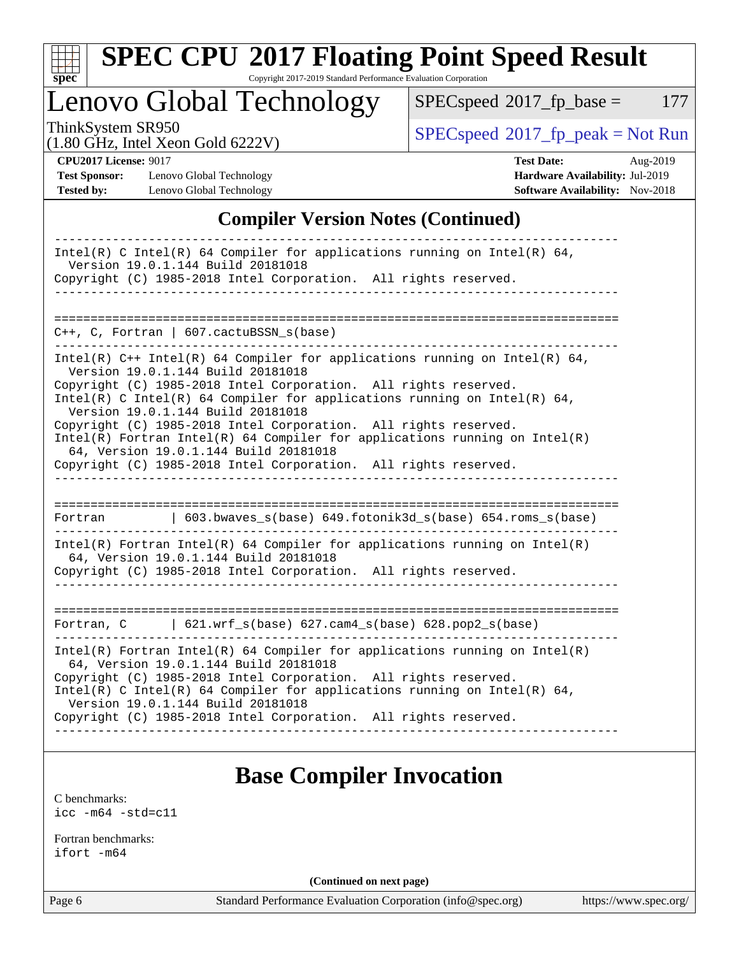

# **[SPEC CPU](http://www.spec.org/auto/cpu2017/Docs/result-fields.html#SPECCPU2017FloatingPointSpeedResult)[2017 Floating Point Speed Result](http://www.spec.org/auto/cpu2017/Docs/result-fields.html#SPECCPU2017FloatingPointSpeedResult)**

Copyright 2017-2019 Standard Performance Evaluation Corporation

Lenovo Global Technology

 $SPECspeed^{\circ}2017_fp\_base = 177$  $SPECspeed^{\circ}2017_fp\_base = 177$ 

ThinkSystem SR950<br>(1.80 GHz, Intel Xeon Gold 6222V)

 $SPECspeed^{\circ}2017_fp\_peak = Not Run$  $SPECspeed^{\circ}2017_fp\_peak = Not Run$ 

**[Test Sponsor:](http://www.spec.org/auto/cpu2017/Docs/result-fields.html#TestSponsor)** Lenovo Global Technology **[Hardware Availability:](http://www.spec.org/auto/cpu2017/Docs/result-fields.html#HardwareAvailability)** Jul-2019 **[Tested by:](http://www.spec.org/auto/cpu2017/Docs/result-fields.html#Testedby)** Lenovo Global Technology **[Software Availability:](http://www.spec.org/auto/cpu2017/Docs/result-fields.html#SoftwareAvailability)** Nov-2018

**[CPU2017 License:](http://www.spec.org/auto/cpu2017/Docs/result-fields.html#CPU2017License)** 9017 **[Test Date:](http://www.spec.org/auto/cpu2017/Docs/result-fields.html#TestDate)** Aug-2019

### **[Compiler Version Notes \(Continued\)](http://www.spec.org/auto/cpu2017/Docs/result-fields.html#CompilerVersionNotes)**

| Intel(R) C Intel(R) 64 Compiler for applications running on Intel(R) 64,<br>Version 19.0.1.144 Build 20181018<br>Copyright (C) 1985-2018 Intel Corporation. All rights reserved.                                                                                                                                                                                                                                                                                                                                                                                     |
|----------------------------------------------------------------------------------------------------------------------------------------------------------------------------------------------------------------------------------------------------------------------------------------------------------------------------------------------------------------------------------------------------------------------------------------------------------------------------------------------------------------------------------------------------------------------|
|                                                                                                                                                                                                                                                                                                                                                                                                                                                                                                                                                                      |
| C++, C, Fortran   607.cactuBSSN_s(base)<br>---------                                                                                                                                                                                                                                                                                                                                                                                                                                                                                                                 |
| Intel(R) $C++$ Intel(R) 64 Compiler for applications running on Intel(R) 64,<br>Version 19.0.1.144 Build 20181018<br>Copyright (C) 1985-2018 Intel Corporation. All rights reserved.<br>Intel(R) C Intel(R) 64 Compiler for applications running on Intel(R) 64,<br>Version 19.0.1.144 Build 20181018<br>Copyright (C) 1985-2018 Intel Corporation. All rights reserved.<br>Intel(R) Fortran Intel(R) 64 Compiler for applications running on $Intel(R)$<br>64, Version 19.0.1.144 Build 20181018<br>Copyright (C) 1985-2018 Intel Corporation. All rights reserved. |
| $\vert$ 603.bwaves_s(base) 649.fotonik3d_s(base) 654.roms_s(base)<br>Fortran                                                                                                                                                                                                                                                                                                                                                                                                                                                                                         |
| Intel(R) Fortran Intel(R) 64 Compiler for applications running on Intel(R)<br>64, Version 19.0.1.144 Build 20181018<br>Copyright (C) 1985-2018 Intel Corporation. All rights reserved.                                                                                                                                                                                                                                                                                                                                                                               |
| Fortran, C $\qquad$ 621.wrf_s(base) 627.cam4_s(base) 628.pop2_s(base)                                                                                                                                                                                                                                                                                                                                                                                                                                                                                                |
| $Intel(R)$ Fortran Intel(R) 64 Compiler for applications running on Intel(R)<br>64, Version 19.0.1.144 Build 20181018<br>Copyright (C) 1985-2018 Intel Corporation. All rights reserved.<br>Intel(R) C Intel(R) 64 Compiler for applications running on Intel(R) 64,<br>Version 19.0.1.144 Build 20181018<br>Copyright (C) 1985-2018 Intel Corporation. All rights reserved.                                                                                                                                                                                         |

## **[Base Compiler Invocation](http://www.spec.org/auto/cpu2017/Docs/result-fields.html#BaseCompilerInvocation)**

[C benchmarks](http://www.spec.org/auto/cpu2017/Docs/result-fields.html#Cbenchmarks): [icc -m64 -std=c11](http://www.spec.org/cpu2017/results/res2019q3/cpu2017-20190902-17523.flags.html#user_CCbase_intel_icc_64bit_c11_33ee0cdaae7deeeab2a9725423ba97205ce30f63b9926c2519791662299b76a0318f32ddfffdc46587804de3178b4f9328c46fa7c2b0cd779d7a61945c91cd35)

[Fortran benchmarks](http://www.spec.org/auto/cpu2017/Docs/result-fields.html#Fortranbenchmarks): [ifort -m64](http://www.spec.org/cpu2017/results/res2019q3/cpu2017-20190902-17523.flags.html#user_FCbase_intel_ifort_64bit_24f2bb282fbaeffd6157abe4f878425411749daecae9a33200eee2bee2fe76f3b89351d69a8130dd5949958ce389cf37ff59a95e7a40d588e8d3a57e0c3fd751)

**(Continued on next page)**

Page 6 Standard Performance Evaluation Corporation [\(info@spec.org\)](mailto:info@spec.org) <https://www.spec.org/>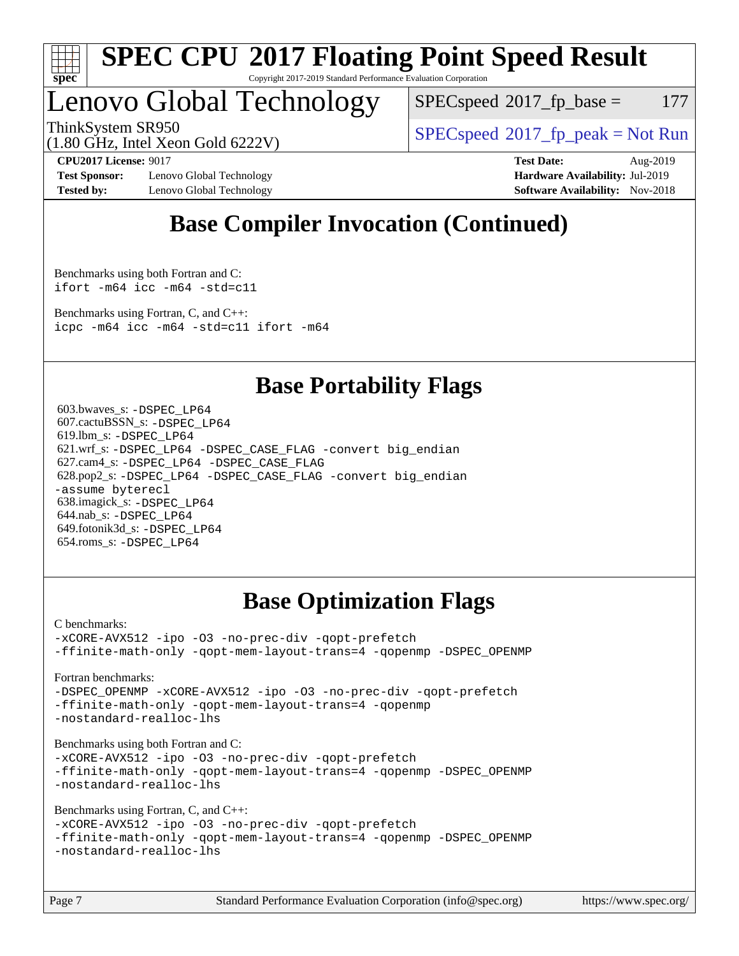

#### **[SPEC CPU](http://www.spec.org/auto/cpu2017/Docs/result-fields.html#SPECCPU2017FloatingPointSpeedResult)[2017 Floating Point Speed Result](http://www.spec.org/auto/cpu2017/Docs/result-fields.html#SPECCPU2017FloatingPointSpeedResult)** Copyright 2017-2019 Standard Performance Evaluation Corporation

## Lenovo Global Technology

 $SPEC speed^{\circ}2017\_fp\_base = 177$ 

ThinkSystem SR950<br>  $SPECspeed*2017_fp\_peak = Not Run$  $SPECspeed*2017_fp\_peak = Not Run$ 

(1.80 GHz, Intel Xeon Gold 6222V)

**[Test Sponsor:](http://www.spec.org/auto/cpu2017/Docs/result-fields.html#TestSponsor)** Lenovo Global Technology **[Hardware Availability:](http://www.spec.org/auto/cpu2017/Docs/result-fields.html#HardwareAvailability)** Jul-2019 **[Tested by:](http://www.spec.org/auto/cpu2017/Docs/result-fields.html#Testedby)** Lenovo Global Technology **[Software Availability:](http://www.spec.org/auto/cpu2017/Docs/result-fields.html#SoftwareAvailability)** Nov-2018

**[CPU2017 License:](http://www.spec.org/auto/cpu2017/Docs/result-fields.html#CPU2017License)** 9017 **[Test Date:](http://www.spec.org/auto/cpu2017/Docs/result-fields.html#TestDate)** Aug-2019

## **[Base Compiler Invocation \(Continued\)](http://www.spec.org/auto/cpu2017/Docs/result-fields.html#BaseCompilerInvocation)**

[Benchmarks using both Fortran and C](http://www.spec.org/auto/cpu2017/Docs/result-fields.html#BenchmarksusingbothFortranandC): [ifort -m64](http://www.spec.org/cpu2017/results/res2019q3/cpu2017-20190902-17523.flags.html#user_CC_FCbase_intel_ifort_64bit_24f2bb282fbaeffd6157abe4f878425411749daecae9a33200eee2bee2fe76f3b89351d69a8130dd5949958ce389cf37ff59a95e7a40d588e8d3a57e0c3fd751) [icc -m64 -std=c11](http://www.spec.org/cpu2017/results/res2019q3/cpu2017-20190902-17523.flags.html#user_CC_FCbase_intel_icc_64bit_c11_33ee0cdaae7deeeab2a9725423ba97205ce30f63b9926c2519791662299b76a0318f32ddfffdc46587804de3178b4f9328c46fa7c2b0cd779d7a61945c91cd35)

[Benchmarks using Fortran, C, and C++:](http://www.spec.org/auto/cpu2017/Docs/result-fields.html#BenchmarksusingFortranCandCXX) [icpc -m64](http://www.spec.org/cpu2017/results/res2019q3/cpu2017-20190902-17523.flags.html#user_CC_CXX_FCbase_intel_icpc_64bit_4ecb2543ae3f1412ef961e0650ca070fec7b7afdcd6ed48761b84423119d1bf6bdf5cad15b44d48e7256388bc77273b966e5eb805aefd121eb22e9299b2ec9d9) [icc -m64 -std=c11](http://www.spec.org/cpu2017/results/res2019q3/cpu2017-20190902-17523.flags.html#user_CC_CXX_FCbase_intel_icc_64bit_c11_33ee0cdaae7deeeab2a9725423ba97205ce30f63b9926c2519791662299b76a0318f32ddfffdc46587804de3178b4f9328c46fa7c2b0cd779d7a61945c91cd35) [ifort -m64](http://www.spec.org/cpu2017/results/res2019q3/cpu2017-20190902-17523.flags.html#user_CC_CXX_FCbase_intel_ifort_64bit_24f2bb282fbaeffd6157abe4f878425411749daecae9a33200eee2bee2fe76f3b89351d69a8130dd5949958ce389cf37ff59a95e7a40d588e8d3a57e0c3fd751)

## **[Base Portability Flags](http://www.spec.org/auto/cpu2017/Docs/result-fields.html#BasePortabilityFlags)**

 603.bwaves\_s: [-DSPEC\\_LP64](http://www.spec.org/cpu2017/results/res2019q3/cpu2017-20190902-17523.flags.html#suite_basePORTABILITY603_bwaves_s_DSPEC_LP64) 607.cactuBSSN\_s: [-DSPEC\\_LP64](http://www.spec.org/cpu2017/results/res2019q3/cpu2017-20190902-17523.flags.html#suite_basePORTABILITY607_cactuBSSN_s_DSPEC_LP64) 619.lbm\_s: [-DSPEC\\_LP64](http://www.spec.org/cpu2017/results/res2019q3/cpu2017-20190902-17523.flags.html#suite_basePORTABILITY619_lbm_s_DSPEC_LP64) 621.wrf\_s: [-DSPEC\\_LP64](http://www.spec.org/cpu2017/results/res2019q3/cpu2017-20190902-17523.flags.html#suite_basePORTABILITY621_wrf_s_DSPEC_LP64) [-DSPEC\\_CASE\\_FLAG](http://www.spec.org/cpu2017/results/res2019q3/cpu2017-20190902-17523.flags.html#b621.wrf_s_baseCPORTABILITY_DSPEC_CASE_FLAG) [-convert big\\_endian](http://www.spec.org/cpu2017/results/res2019q3/cpu2017-20190902-17523.flags.html#user_baseFPORTABILITY621_wrf_s_convert_big_endian_c3194028bc08c63ac5d04de18c48ce6d347e4e562e8892b8bdbdc0214820426deb8554edfa529a3fb25a586e65a3d812c835984020483e7e73212c4d31a38223) 627.cam4\_s: [-DSPEC\\_LP64](http://www.spec.org/cpu2017/results/res2019q3/cpu2017-20190902-17523.flags.html#suite_basePORTABILITY627_cam4_s_DSPEC_LP64) [-DSPEC\\_CASE\\_FLAG](http://www.spec.org/cpu2017/results/res2019q3/cpu2017-20190902-17523.flags.html#b627.cam4_s_baseCPORTABILITY_DSPEC_CASE_FLAG) 628.pop2\_s: [-DSPEC\\_LP64](http://www.spec.org/cpu2017/results/res2019q3/cpu2017-20190902-17523.flags.html#suite_basePORTABILITY628_pop2_s_DSPEC_LP64) [-DSPEC\\_CASE\\_FLAG](http://www.spec.org/cpu2017/results/res2019q3/cpu2017-20190902-17523.flags.html#b628.pop2_s_baseCPORTABILITY_DSPEC_CASE_FLAG) [-convert big\\_endian](http://www.spec.org/cpu2017/results/res2019q3/cpu2017-20190902-17523.flags.html#user_baseFPORTABILITY628_pop2_s_convert_big_endian_c3194028bc08c63ac5d04de18c48ce6d347e4e562e8892b8bdbdc0214820426deb8554edfa529a3fb25a586e65a3d812c835984020483e7e73212c4d31a38223) [-assume byterecl](http://www.spec.org/cpu2017/results/res2019q3/cpu2017-20190902-17523.flags.html#user_baseFPORTABILITY628_pop2_s_assume_byterecl_7e47d18b9513cf18525430bbf0f2177aa9bf368bc7a059c09b2c06a34b53bd3447c950d3f8d6c70e3faf3a05c8557d66a5798b567902e8849adc142926523472) 638.imagick\_s: [-DSPEC\\_LP64](http://www.spec.org/cpu2017/results/res2019q3/cpu2017-20190902-17523.flags.html#suite_basePORTABILITY638_imagick_s_DSPEC_LP64) 644.nab\_s: [-DSPEC\\_LP64](http://www.spec.org/cpu2017/results/res2019q3/cpu2017-20190902-17523.flags.html#suite_basePORTABILITY644_nab_s_DSPEC_LP64) 649.fotonik3d\_s: [-DSPEC\\_LP64](http://www.spec.org/cpu2017/results/res2019q3/cpu2017-20190902-17523.flags.html#suite_basePORTABILITY649_fotonik3d_s_DSPEC_LP64) 654.roms\_s: [-DSPEC\\_LP64](http://www.spec.org/cpu2017/results/res2019q3/cpu2017-20190902-17523.flags.html#suite_basePORTABILITY654_roms_s_DSPEC_LP64)

## **[Base Optimization Flags](http://www.spec.org/auto/cpu2017/Docs/result-fields.html#BaseOptimizationFlags)**

[C benchmarks](http://www.spec.org/auto/cpu2017/Docs/result-fields.html#Cbenchmarks):

[-xCORE-AVX512](http://www.spec.org/cpu2017/results/res2019q3/cpu2017-20190902-17523.flags.html#user_CCbase_f-xCORE-AVX512) [-ipo](http://www.spec.org/cpu2017/results/res2019q3/cpu2017-20190902-17523.flags.html#user_CCbase_f-ipo) [-O3](http://www.spec.org/cpu2017/results/res2019q3/cpu2017-20190902-17523.flags.html#user_CCbase_f-O3) [-no-prec-div](http://www.spec.org/cpu2017/results/res2019q3/cpu2017-20190902-17523.flags.html#user_CCbase_f-no-prec-div) [-qopt-prefetch](http://www.spec.org/cpu2017/results/res2019q3/cpu2017-20190902-17523.flags.html#user_CCbase_f-qopt-prefetch) [-ffinite-math-only](http://www.spec.org/cpu2017/results/res2019q3/cpu2017-20190902-17523.flags.html#user_CCbase_f_finite_math_only_cb91587bd2077682c4b38af759c288ed7c732db004271a9512da14a4f8007909a5f1427ecbf1a0fb78ff2a814402c6114ac565ca162485bbcae155b5e4258871) [-qopt-mem-layout-trans=4](http://www.spec.org/cpu2017/results/res2019q3/cpu2017-20190902-17523.flags.html#user_CCbase_f-qopt-mem-layout-trans_fa39e755916c150a61361b7846f310bcdf6f04e385ef281cadf3647acec3f0ae266d1a1d22d972a7087a248fd4e6ca390a3634700869573d231a252c784941a8) [-qopenmp](http://www.spec.org/cpu2017/results/res2019q3/cpu2017-20190902-17523.flags.html#user_CCbase_qopenmp_16be0c44f24f464004c6784a7acb94aca937f053568ce72f94b139a11c7c168634a55f6653758ddd83bcf7b8463e8028bb0b48b77bcddc6b78d5d95bb1df2967) [-DSPEC\\_OPENMP](http://www.spec.org/cpu2017/results/res2019q3/cpu2017-20190902-17523.flags.html#suite_CCbase_DSPEC_OPENMP)

[Fortran benchmarks](http://www.spec.org/auto/cpu2017/Docs/result-fields.html#Fortranbenchmarks):

[-DSPEC\\_OPENMP](http://www.spec.org/cpu2017/results/res2019q3/cpu2017-20190902-17523.flags.html#suite_FCbase_DSPEC_OPENMP) [-xCORE-AVX512](http://www.spec.org/cpu2017/results/res2019q3/cpu2017-20190902-17523.flags.html#user_FCbase_f-xCORE-AVX512) [-ipo](http://www.spec.org/cpu2017/results/res2019q3/cpu2017-20190902-17523.flags.html#user_FCbase_f-ipo) [-O3](http://www.spec.org/cpu2017/results/res2019q3/cpu2017-20190902-17523.flags.html#user_FCbase_f-O3) [-no-prec-div](http://www.spec.org/cpu2017/results/res2019q3/cpu2017-20190902-17523.flags.html#user_FCbase_f-no-prec-div) [-qopt-prefetch](http://www.spec.org/cpu2017/results/res2019q3/cpu2017-20190902-17523.flags.html#user_FCbase_f-qopt-prefetch) [-ffinite-math-only](http://www.spec.org/cpu2017/results/res2019q3/cpu2017-20190902-17523.flags.html#user_FCbase_f_finite_math_only_cb91587bd2077682c4b38af759c288ed7c732db004271a9512da14a4f8007909a5f1427ecbf1a0fb78ff2a814402c6114ac565ca162485bbcae155b5e4258871) [-qopt-mem-layout-trans=4](http://www.spec.org/cpu2017/results/res2019q3/cpu2017-20190902-17523.flags.html#user_FCbase_f-qopt-mem-layout-trans_fa39e755916c150a61361b7846f310bcdf6f04e385ef281cadf3647acec3f0ae266d1a1d22d972a7087a248fd4e6ca390a3634700869573d231a252c784941a8) [-qopenmp](http://www.spec.org/cpu2017/results/res2019q3/cpu2017-20190902-17523.flags.html#user_FCbase_qopenmp_16be0c44f24f464004c6784a7acb94aca937f053568ce72f94b139a11c7c168634a55f6653758ddd83bcf7b8463e8028bb0b48b77bcddc6b78d5d95bb1df2967) [-nostandard-realloc-lhs](http://www.spec.org/cpu2017/results/res2019q3/cpu2017-20190902-17523.flags.html#user_FCbase_f_2003_std_realloc_82b4557e90729c0f113870c07e44d33d6f5a304b4f63d4c15d2d0f1fab99f5daaed73bdb9275d9ae411527f28b936061aa8b9c8f2d63842963b95c9dd6426b8a)

[Benchmarks using both Fortran and C](http://www.spec.org/auto/cpu2017/Docs/result-fields.html#BenchmarksusingbothFortranandC):

[-xCORE-AVX512](http://www.spec.org/cpu2017/results/res2019q3/cpu2017-20190902-17523.flags.html#user_CC_FCbase_f-xCORE-AVX512) [-ipo](http://www.spec.org/cpu2017/results/res2019q3/cpu2017-20190902-17523.flags.html#user_CC_FCbase_f-ipo) [-O3](http://www.spec.org/cpu2017/results/res2019q3/cpu2017-20190902-17523.flags.html#user_CC_FCbase_f-O3) [-no-prec-div](http://www.spec.org/cpu2017/results/res2019q3/cpu2017-20190902-17523.flags.html#user_CC_FCbase_f-no-prec-div) [-qopt-prefetch](http://www.spec.org/cpu2017/results/res2019q3/cpu2017-20190902-17523.flags.html#user_CC_FCbase_f-qopt-prefetch) [-ffinite-math-only](http://www.spec.org/cpu2017/results/res2019q3/cpu2017-20190902-17523.flags.html#user_CC_FCbase_f_finite_math_only_cb91587bd2077682c4b38af759c288ed7c732db004271a9512da14a4f8007909a5f1427ecbf1a0fb78ff2a814402c6114ac565ca162485bbcae155b5e4258871) [-qopt-mem-layout-trans=4](http://www.spec.org/cpu2017/results/res2019q3/cpu2017-20190902-17523.flags.html#user_CC_FCbase_f-qopt-mem-layout-trans_fa39e755916c150a61361b7846f310bcdf6f04e385ef281cadf3647acec3f0ae266d1a1d22d972a7087a248fd4e6ca390a3634700869573d231a252c784941a8) [-qopenmp](http://www.spec.org/cpu2017/results/res2019q3/cpu2017-20190902-17523.flags.html#user_CC_FCbase_qopenmp_16be0c44f24f464004c6784a7acb94aca937f053568ce72f94b139a11c7c168634a55f6653758ddd83bcf7b8463e8028bb0b48b77bcddc6b78d5d95bb1df2967) [-DSPEC\\_OPENMP](http://www.spec.org/cpu2017/results/res2019q3/cpu2017-20190902-17523.flags.html#suite_CC_FCbase_DSPEC_OPENMP) [-nostandard-realloc-lhs](http://www.spec.org/cpu2017/results/res2019q3/cpu2017-20190902-17523.flags.html#user_CC_FCbase_f_2003_std_realloc_82b4557e90729c0f113870c07e44d33d6f5a304b4f63d4c15d2d0f1fab99f5daaed73bdb9275d9ae411527f28b936061aa8b9c8f2d63842963b95c9dd6426b8a)

[Benchmarks using Fortran, C, and C++:](http://www.spec.org/auto/cpu2017/Docs/result-fields.html#BenchmarksusingFortranCandCXX)

[-xCORE-AVX512](http://www.spec.org/cpu2017/results/res2019q3/cpu2017-20190902-17523.flags.html#user_CC_CXX_FCbase_f-xCORE-AVX512) [-ipo](http://www.spec.org/cpu2017/results/res2019q3/cpu2017-20190902-17523.flags.html#user_CC_CXX_FCbase_f-ipo) [-O3](http://www.spec.org/cpu2017/results/res2019q3/cpu2017-20190902-17523.flags.html#user_CC_CXX_FCbase_f-O3) [-no-prec-div](http://www.spec.org/cpu2017/results/res2019q3/cpu2017-20190902-17523.flags.html#user_CC_CXX_FCbase_f-no-prec-div) [-qopt-prefetch](http://www.spec.org/cpu2017/results/res2019q3/cpu2017-20190902-17523.flags.html#user_CC_CXX_FCbase_f-qopt-prefetch) [-ffinite-math-only](http://www.spec.org/cpu2017/results/res2019q3/cpu2017-20190902-17523.flags.html#user_CC_CXX_FCbase_f_finite_math_only_cb91587bd2077682c4b38af759c288ed7c732db004271a9512da14a4f8007909a5f1427ecbf1a0fb78ff2a814402c6114ac565ca162485bbcae155b5e4258871) [-qopt-mem-layout-trans=4](http://www.spec.org/cpu2017/results/res2019q3/cpu2017-20190902-17523.flags.html#user_CC_CXX_FCbase_f-qopt-mem-layout-trans_fa39e755916c150a61361b7846f310bcdf6f04e385ef281cadf3647acec3f0ae266d1a1d22d972a7087a248fd4e6ca390a3634700869573d231a252c784941a8) [-qopenmp](http://www.spec.org/cpu2017/results/res2019q3/cpu2017-20190902-17523.flags.html#user_CC_CXX_FCbase_qopenmp_16be0c44f24f464004c6784a7acb94aca937f053568ce72f94b139a11c7c168634a55f6653758ddd83bcf7b8463e8028bb0b48b77bcddc6b78d5d95bb1df2967) [-DSPEC\\_OPENMP](http://www.spec.org/cpu2017/results/res2019q3/cpu2017-20190902-17523.flags.html#suite_CC_CXX_FCbase_DSPEC_OPENMP) [-nostandard-realloc-lhs](http://www.spec.org/cpu2017/results/res2019q3/cpu2017-20190902-17523.flags.html#user_CC_CXX_FCbase_f_2003_std_realloc_82b4557e90729c0f113870c07e44d33d6f5a304b4f63d4c15d2d0f1fab99f5daaed73bdb9275d9ae411527f28b936061aa8b9c8f2d63842963b95c9dd6426b8a)